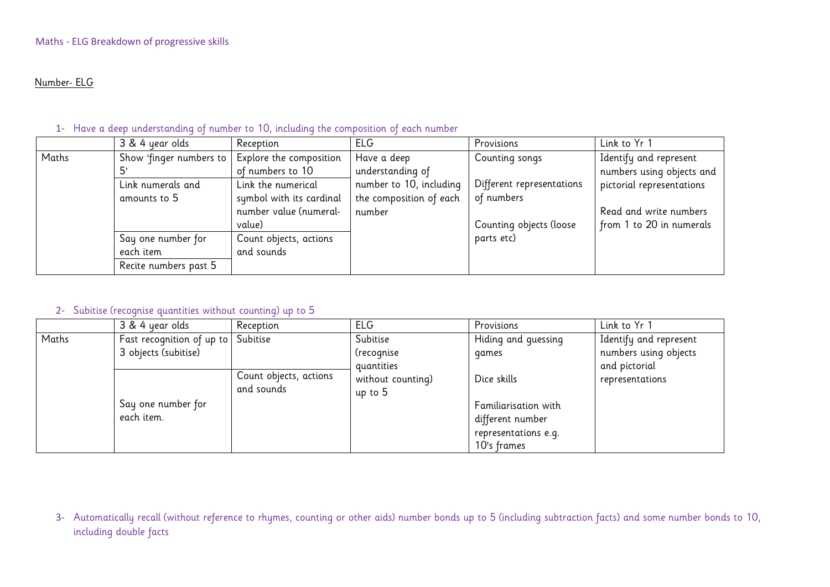#### Number- ELG

### 1- Have a deep understanding of number to 10, including the composition of each number

|       | 3 & 4 year olds                                   | Reception                | <b>ELG</b>              | Provisions                | Link to Yr 1              |
|-------|---------------------------------------------------|--------------------------|-------------------------|---------------------------|---------------------------|
| Maths | Show 'finger numbers to   Explore the composition |                          | Have a deep             | Counting songs            | Identify and represent    |
|       | יט                                                | of numbers to 10         | understanding of        |                           | numbers using objects and |
|       | Link numerals and                                 | Link the numerical       | number to 10, including | Different representations | pictorial representations |
|       | amounts to 5                                      | symbol with its cardinal | the composition of each | of numbers                |                           |
|       |                                                   | number value (numeral-   | number                  |                           | Read and write numbers    |
|       |                                                   | value)                   |                         | Counting objects (loose   | from 1 to 20 in numerals  |
|       | Say one number for                                | Count objects, actions   |                         | parts etc)                |                           |
|       | each item                                         | and sounds               |                         |                           |                           |
|       | Recite numbers past 5                             |                          |                         |                           |                           |

### 2- Subitise (recognise quantities without counting) up to 5

|       | 3 & 4 year olds                                            | Reception                            | <b>ELG</b>                           | Provisions                                                                                     | Link to Yr 1                                                     |
|-------|------------------------------------------------------------|--------------------------------------|--------------------------------------|------------------------------------------------------------------------------------------------|------------------------------------------------------------------|
| Maths | Fast recognition of up to Subitise<br>3 objects (subitise) |                                      | Subitise<br>(recognise<br>quantities | Hiding and guessing<br>games                                                                   | Identify and represent<br>numbers using objects<br>and pictorial |
|       | Say one number for<br>each item.                           | Count objects, actions<br>and sounds | without counting)<br>up to 5         | Dice skills<br>Familiarisation with<br>different number<br>representations e.g.<br>10's frames | representations                                                  |

3- Automatically recall (without reference to rhymes, counting or other aids) number bonds up to 5 (including subtraction facts) and some number bonds to 10, including double facts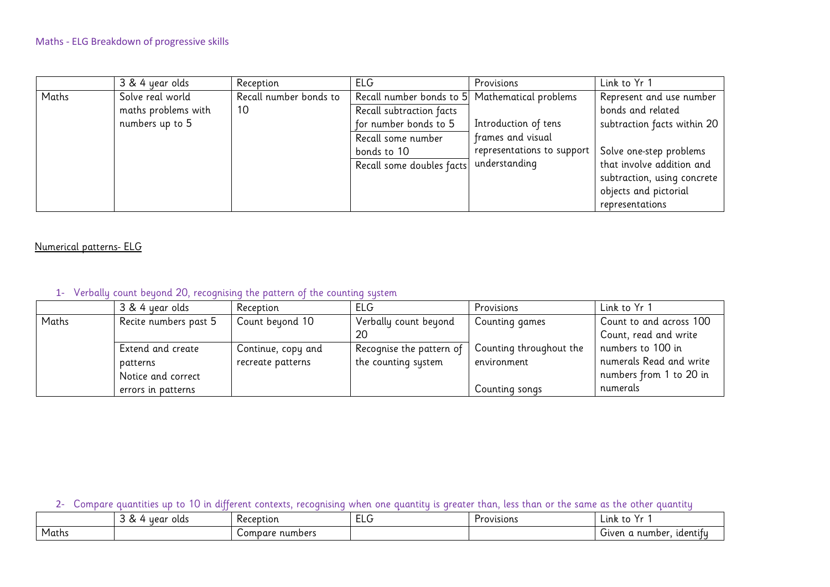|       | 3 & 4 year olds     | Reception              | <b>ELG</b>                                     | Provisions                 | Link to Yr 1                |
|-------|---------------------|------------------------|------------------------------------------------|----------------------------|-----------------------------|
| Maths | Solve real world    | Recall number bonds to | Recall number bonds to 5 Mathematical problems |                            | Represent and use number    |
|       | maths problems with | 10                     | Recall subtraction facts                       |                            | bonds and related           |
|       | numbers up to 5     |                        | for number bonds to 5                          | Introduction of tens       | subtraction facts within 20 |
|       |                     |                        | Recall some number                             | frames and visual          |                             |
|       |                     |                        | bonds to 10                                    | representations to support | Solve one-step problems     |
|       |                     |                        | Recall some doubles facts                      | understanding              | that involve addition and   |
|       |                     |                        |                                                |                            | subtraction, using concrete |
|       |                     |                        |                                                |                            | objects and pictorial       |
|       |                     |                        |                                                |                            | representations             |

# Numerical patterns- ELG

# 1- Verbally count beyond 20, recognising the pattern of the counting system

|       | 3 & 4 year olds       | Reception          | <b>ELG</b>               | Provisions              | Link to Yr 1            |
|-------|-----------------------|--------------------|--------------------------|-------------------------|-------------------------|
| Maths | Recite numbers past 5 | Count beyond 10    | Verbally count beyond    | Counting games          | Count to and across 100 |
|       |                       |                    | 20                       |                         | Count, read and write   |
|       | Extend and create     | Continue, copy and | Recognise the pattern of | Counting throughout the | numbers to 100 in       |
|       | patterns              | recreate patterns  | the counting system      | environment             | numerals Read and write |
|       | Notice and correct    |                    |                          |                         | numbers from 1 to 20 in |
|       | errors in patterns    |                    |                          | Counting songs          | numerals                |

# 2- Compare quantities up to 10 in different contexts, recognising when one quantity is greater than, less than or the same as the other quantity

|       | o<br>year olds<br>$\tilde{\phantom{a}}$ | Reception       | ELU | Provisions | . .<br>Lınk<br>ີເບ             |
|-------|-----------------------------------------|-----------------|-----|------------|--------------------------------|
| Maths |                                         | Compare numbers |     |            | . number.<br>identify<br>Given |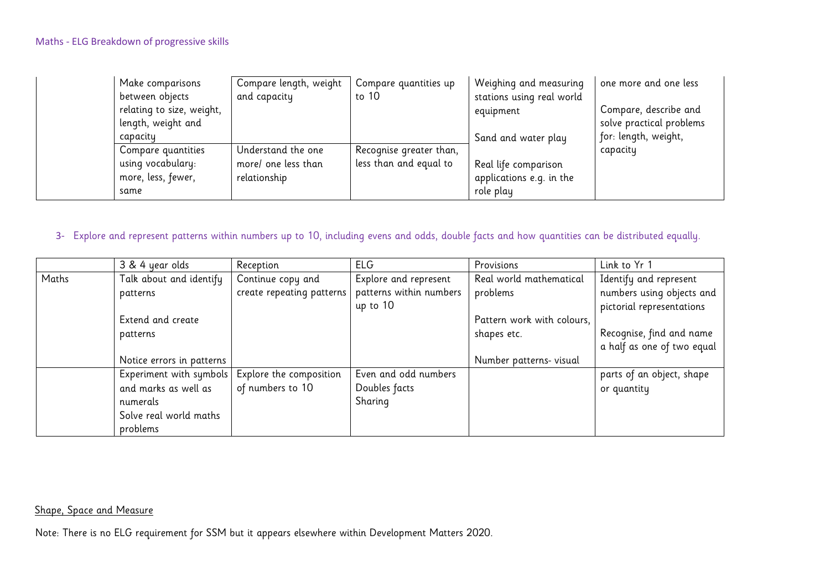| Make comparisons<br>between objects | Compare length, weight<br>and capacity | Compare quantities up<br>to 10 | Weighing and measuring<br>stations using real world | one more and one less    |
|-------------------------------------|----------------------------------------|--------------------------------|-----------------------------------------------------|--------------------------|
| relating to size, weight,           |                                        |                                | equipment                                           | Compare, describe and    |
| length, weight and                  |                                        |                                |                                                     | solve practical problems |
| capacity                            |                                        |                                | Sand and water play                                 | for: length, weight,     |
| Compare quantities                  | Understand the one                     | Recognise greater than,        |                                                     | capacity                 |
| using vocabulary:                   | more/ one less than                    | less than and equal to         | Real life comparison                                |                          |
| more, less, fewer,                  | relationship                           |                                | applications e.g. in the                            |                          |
| same                                |                                        |                                | role play                                           |                          |

### 3- Explore and represent patterns within numbers up to 10, including evens and odds, double facts and how quantities can be distributed equally.

|       | 3 & 4 year olds           | Reception                 | <b>ELG</b>              | Provisions                 | Link to Yr 1               |
|-------|---------------------------|---------------------------|-------------------------|----------------------------|----------------------------|
| Maths | Talk about and identify   | Continue copy and         | Explore and represent   | Real world mathematical    | Identify and represent     |
|       | patterns                  | create repeating patterns | patterns within numbers | problems                   | numbers using objects and  |
|       |                           |                           | up to 10                |                            | pictorial representations  |
|       | Extend and create         |                           |                         | Pattern work with colours, |                            |
|       | patterns                  |                           |                         | shapes etc.                | Recognise, find and name   |
|       |                           |                           |                         |                            | a half as one of two equal |
|       | Notice errors in patterns |                           |                         | Number patterns- visual    |                            |
|       | Experiment with symbols   | Explore the composition   | Even and odd numbers    |                            | parts of an object, shape  |
|       | and marks as well as      | of numbers to 10          | Doubles facts           |                            | or quantity                |
|       | numerals                  |                           | Sharing                 |                            |                            |
|       | Solve real world maths    |                           |                         |                            |                            |
|       | problems                  |                           |                         |                            |                            |

Shape, Space and Measure

Note: There is no ELG requirement for SSM but it appears elsewhere within Development Matters 2020.